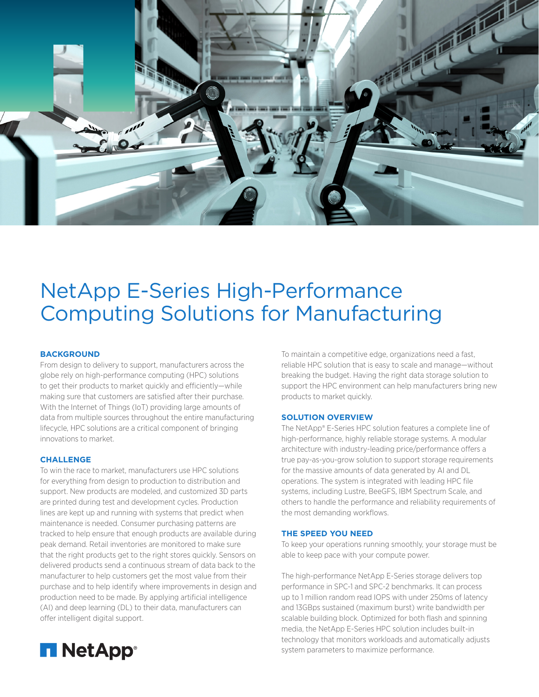

# NetApp E-Series High-Performance Computing Solutions for Manufacturing

# **BACKGROUND**

From design to delivery to support, manufacturers across the globe rely on high-performance computing (HPC) solutions to get their products to market quickly and efficiently—while making sure that customers are satisfied after their purchase. With the Internet of Things (IoT) providing large amounts of data from multiple sources throughout the entire manufacturing lifecycle, HPC solutions are a critical component of bringing innovations to market.

## **CHALLENGE**

To win the race to market, manufacturers use HPC solutions for everything from design to production to distribution and support. New products are modeled, and customized 3D parts are printed during test and development cycles. Production lines are kept up and running with systems that predict when maintenance is needed. Consumer purchasing patterns are tracked to help ensure that enough products are available during peak demand. Retail inventories are monitored to make sure that the right products get to the right stores quickly. Sensors on delivered products send a continuous stream of data back to the manufacturer to help customers get the most value from their purchase and to help identify where improvements in design and production need to be made. By applying artificial intelligence (AI) and deep learning (DL) to their data, manufacturers can offer intelligent digital support.

To maintain a competitive edge, organizations need a fast, reliable HPC solution that is easy to scale and manage—without breaking the budget. Having the right data storage solution to support the HPC environment can help manufacturers bring new products to market quickly.

#### **SOLUTION OVERVIEW**

The NetApp® E-Series HPC solution features a complete line of high-performance, highly reliable storage systems. A modular architecture with industry-leading price/performance offers a true pay-as-you-grow solution to support storage requirements for the massive amounts of data generated by AI and DL operations. The system is integrated with leading HPC file systems, including Lustre, BeeGFS, IBM Spectrum Scale, and others to handle the performance and reliability requirements of the most demanding workflows.

#### **THE SPEED YOU NEED**

To keep your operations running smoothly, your storage must be able to keep pace with your compute power.

The high-performance NetApp E-Series storage delivers top performance in SPC-1 and SPC-2 benchmarks. It can process up to 1 million random read IOPS with under 250ms of latency and 13GBps sustained (maximum burst) write bandwidth per scalable building block. Optimized for both flash and spinning media, the NetApp E-Series HPC solution includes built-in technology that monitors workloads and automatically adjusts system parameters to maximize performance.